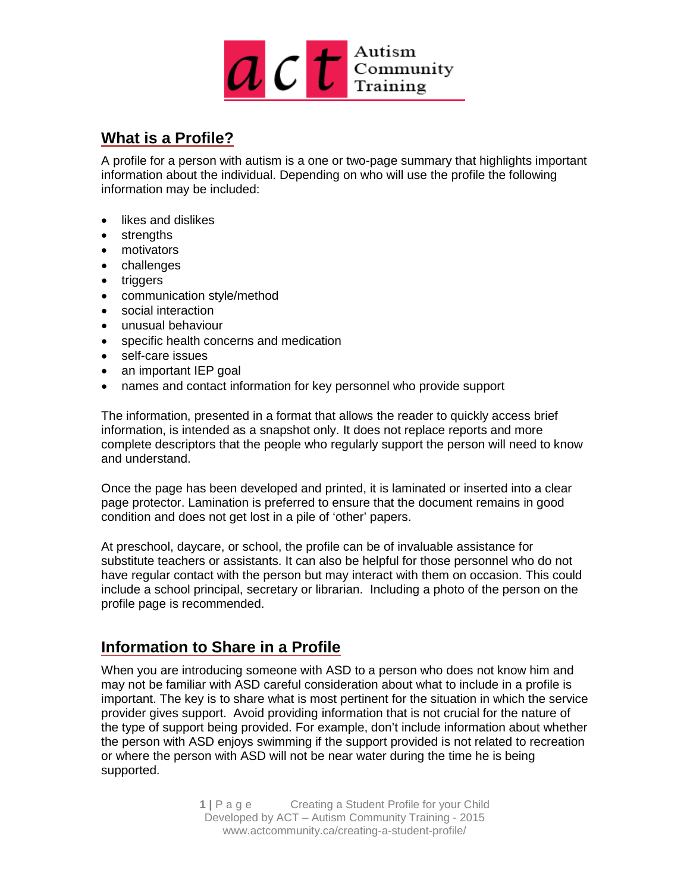

## **What is a Profile?**

A profile for a person with autism is a one or two-page summary that highlights important information about the individual. Depending on who will use the profile the following information may be included:

- likes and dislikes
- strengths
- motivators
- challenges
- triggers
- communication style/method
- social interaction
- unusual behaviour
- specific health concerns and medication
- self-care issues
- an important IEP goal
- names and contact information for key personnel who provide support

The information, presented in a format that allows the reader to quickly access brief information, is intended as a snapshot only. It does not replace reports and more complete descriptors that the people who regularly support the person will need to know and understand.

Once the page has been developed and printed, it is laminated or inserted into a clear page protector. Lamination is preferred to ensure that the document remains in good condition and does not get lost in a pile of 'other' papers.

At preschool, daycare, or school, the profile can be of invaluable assistance for substitute teachers or assistants. It can also be helpful for those personnel who do not have regular contact with the person but may interact with them on occasion. This could include a school principal, secretary or librarian. Including a photo of the person on the profile page is recommended.

## **Information to Share in a Profile**

When you are introducing someone with ASD to a person who does not know him and may not be familiar with ASD careful consideration about what to include in a profile is important. The key is to share what is most pertinent for the situation in which the service provider gives support. Avoid providing information that is not crucial for the nature of the type of support being provided. For example, don't include information about whether the person with ASD enjoys swimming if the support provided is not related to recreation or where the person with ASD will not be near water during the time he is being supported.